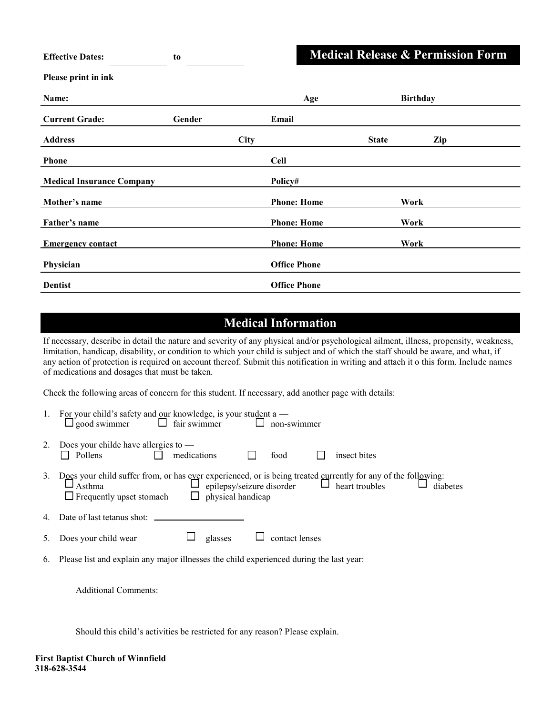| <b>Medical Release &amp; Permission</b> |  |  |  |  |
|-----------------------------------------|--|--|--|--|
|                                         |  |  |  |  |
|                                         |  |  |  |  |
|                                         |  |  |  |  |

**Form** 

| Name:                            |        |      | Age                 |              | <b>Birthday</b> |     |
|----------------------------------|--------|------|---------------------|--------------|-----------------|-----|
| <b>Current Grade:</b>            | Gender |      | Email               |              |                 |     |
| <b>Address</b>                   |        | City |                     | <b>State</b> |                 | Zip |
| <b>Phone</b>                     |        |      | <b>Cell</b>         |              |                 |     |
| <b>Medical Insurance Company</b> |        |      | Policy#             |              |                 |     |
| Mother's name                    |        |      | <b>Phone: Home</b>  |              | Work            |     |
| Father's name                    |        |      | <b>Phone: Home</b>  |              | Work            |     |
| <b>Emergency contact</b>         |        |      | <b>Phone: Home</b>  |              | Work            |     |
| Physician                        |        |      | <b>Office Phone</b> |              |                 |     |
| <b>Dentist</b>                   |        |      | <b>Office Phone</b> |              |                 |     |

## **Medical Information**

If necessary, describe in detail the nature and severity of any physical and/or psychological ailment, illness, propensity, weakness, limitation, handicap, disability, or condition to which your child is subject and of which the staff should be aware, and what, if any action of protection is required on account thereof. Submit this notification in writing and attach it o this form. Include names of medications and dosages that must be taken.

Check the following areas of concern for this student. If necessary, add another page with details:

|    | For your child's safety and our knowledge, is your student a $-$<br>$\Box$ fair swimmer<br>$\Box$ good swimmer<br>non-swimmer                                                                                                                               |
|----|-------------------------------------------------------------------------------------------------------------------------------------------------------------------------------------------------------------------------------------------------------------|
| 2. | Does your childe have allergies to $-$<br>medications<br><b>D</b> Pollens<br>insect bites<br>food                                                                                                                                                           |
| 3. | Does your child suffer from, or has ever experienced, or is being treated currently for any of the following:<br>$\Box$ heart troubles<br>epilepsy/seizure disorder<br>diabetes<br>Asthma<br>physical handicap<br>$\Box$ Frequently upset stomach<br>$\Box$ |
|    |                                                                                                                                                                                                                                                             |
|    | contact lenses<br>glasses<br>Does your child wear                                                                                                                                                                                                           |
|    | 6 Please list and explain any major illnesses the child experienced during the last year                                                                                                                                                                    |

6. Please list and explain any major illnesses the child experienced during the last year:

Additional Comments:

**Effective Dates: to**

**Please print in ink**

Should this child's activities be restricted for any reason? Please explain.